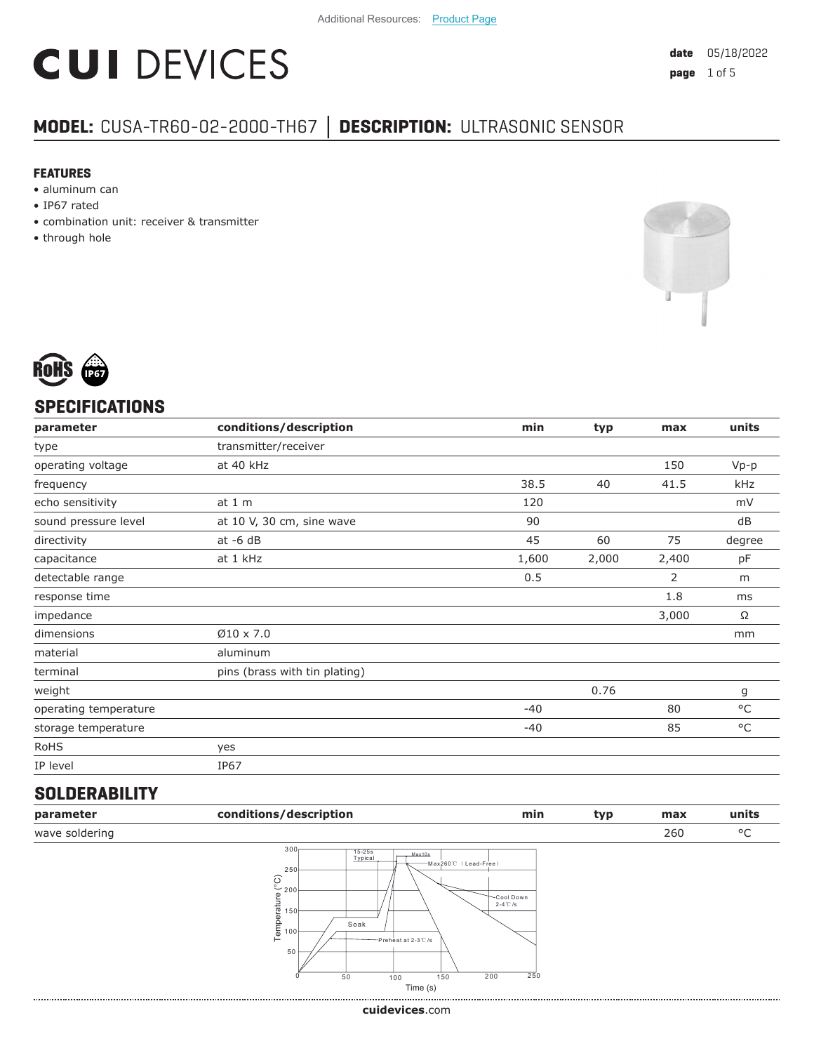# **CUI DEVICES**

### **MODEL:** CUSA-TR60-02-2000-TH67 **│ DESCRIPTION:** ULTRASONIC SENSOR

#### **FEATURES**

- aluminum can
- IP67 rated
- combination unit: receiver & transmitter
- through hole





#### **SPECIFICATIONS**

| parameter             | conditions/description        | min   | typ   | max   | units        |
|-----------------------|-------------------------------|-------|-------|-------|--------------|
| type                  | transmitter/receiver          |       |       |       |              |
| operating voltage     | at 40 kHz                     |       |       | 150   | $Vp-p$       |
| frequency             |                               | 38.5  | 40    | 41.5  | kHz          |
| echo sensitivity      | at $1m$                       | 120   |       |       | mV           |
| sound pressure level  | at 10 V, 30 cm, sine wave     | 90    |       |       | dB           |
| directivity           | at $-6$ dB                    | 45    | 60    | 75    | degree       |
| capacitance           | at 1 kHz                      | 1,600 | 2,000 | 2,400 | pF           |
| detectable range      |                               | 0.5   |       | 2     | m            |
| response time         |                               |       |       | 1.8   | ms           |
| impedance             |                               |       |       | 3,000 | Ω            |
| dimensions            | $\varnothing$ 10 x 7.0        |       |       |       | mm           |
| material              | aluminum                      |       |       |       |              |
| terminal              | pins (brass with tin plating) |       |       |       |              |
| weight                |                               |       | 0.76  |       | g            |
| operating temperature |                               | $-40$ |       | 80    | °C           |
| storage temperature   |                               | $-40$ |       | 85    | $^{\circ}$ C |
| <b>RoHS</b>           | yes                           |       |       |       |              |
| IP level              | IP67                          |       |       |       |              |
|                       |                               |       |       |       |              |

#### **SOLDERABILITY**

| parameter      | conditions/description                                                                                                                                               | min                                              | typ | max | units |
|----------------|----------------------------------------------------------------------------------------------------------------------------------------------------------------------|--------------------------------------------------|-----|-----|-------|
| wave soldering |                                                                                                                                                                      |                                                  |     | 260 | °C    |
|                | 300 <sub>1</sub><br>15-25s<br>Typical<br>Max10s<br>250<br>$\frac{6}{200}$<br>Temperature<br>150 <sup>1</sup><br>Soak<br>100 <sub>b</sub><br>—Preheat at 2-3℃/s<br>50 | -Max260℃ (Lead-Free)<br>Cool Down<br>$2-4$ °C /s |     |     |       |



0 50 100 150 200 250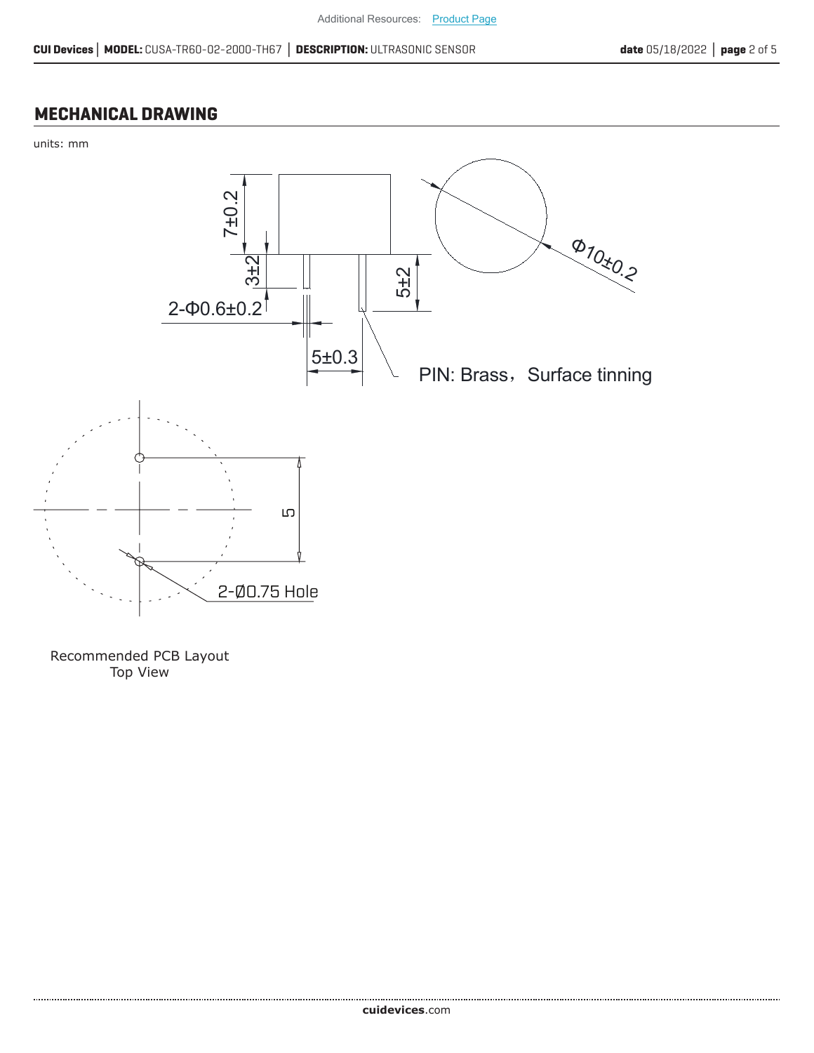#### **MECHANICAL DRAWING**





Recommended PCB Layout Top View

......................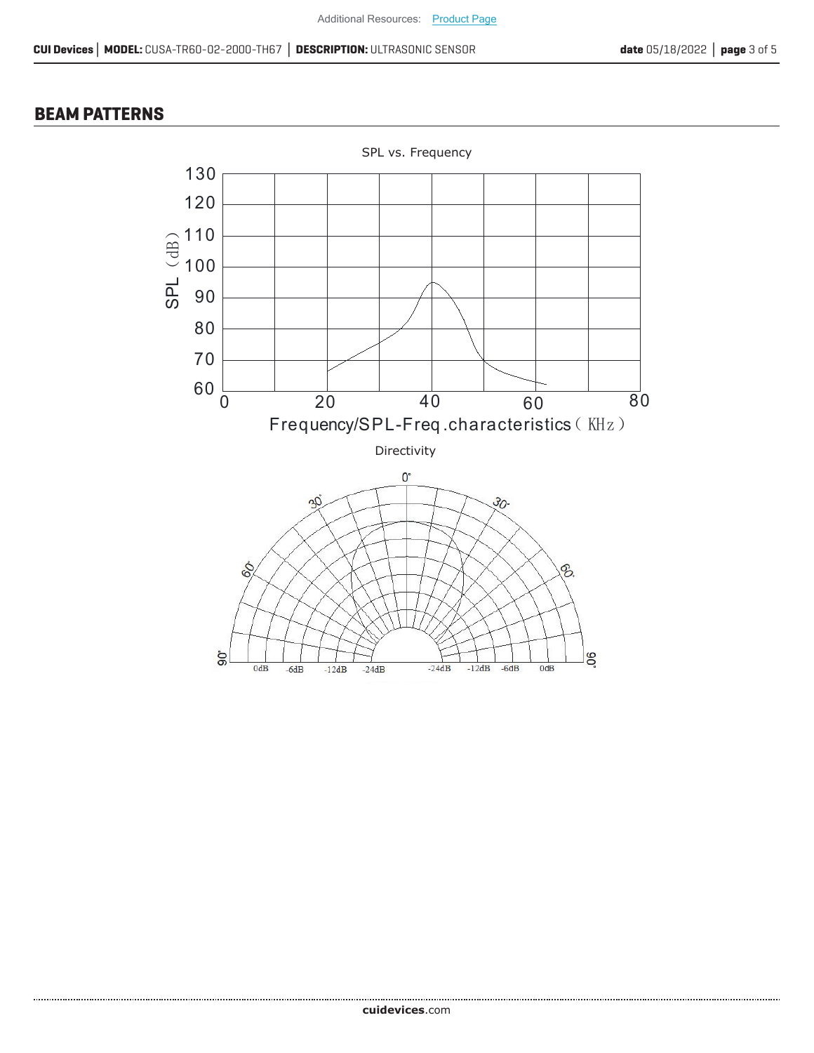#### **BEAM PATTERNS**

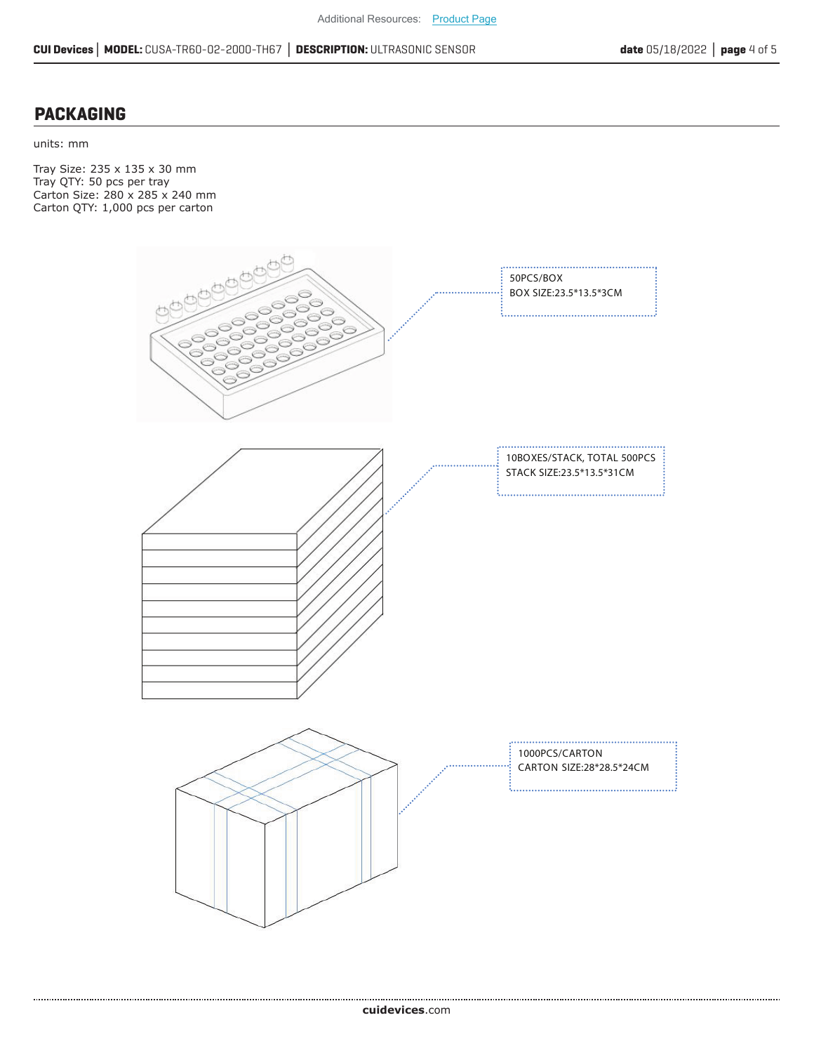#### **PACKAGING**

units: mm

Tray Size: 235 x 135 x 30 mm Tray QTY: 50 pcs per tray Carton Size: 280 x 285 x 240 mm Carton QTY: 1,000 pcs per carton